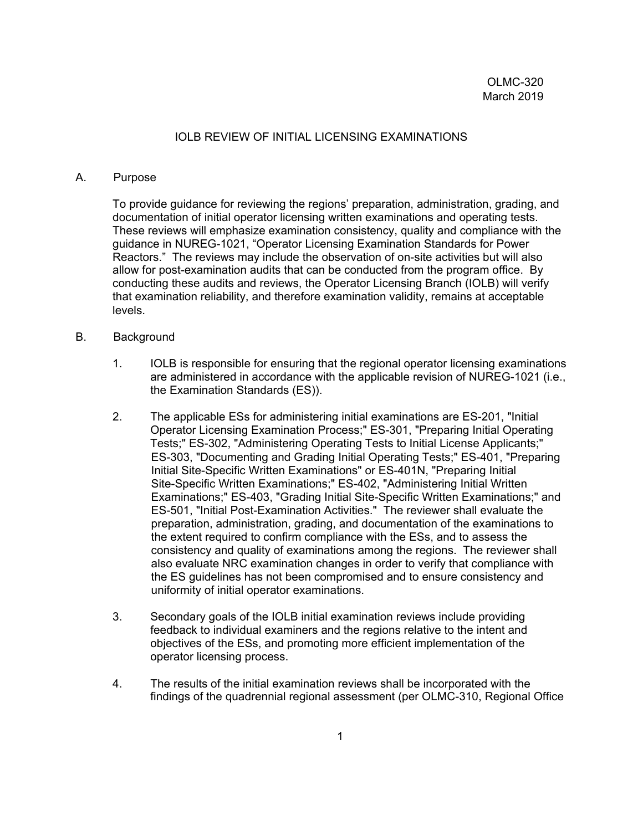#### IOLB REVIEW OF INITIAL LICENSING EXAMINATIONS

#### A. Purpose

To provide guidance for reviewing the regions' preparation, administration, grading, and documentation of initial operator licensing written examinations and operating tests. These reviews will emphasize examination consistency, quality and compliance with the guidance in NUREG-1021, "Operator Licensing Examination Standards for Power Reactors." The reviews may include the observation of on-site activities but will also allow for post-examination audits that can be conducted from the program office. By conducting these audits and reviews, the Operator Licensing Branch (IOLB) will verify that examination reliability, and therefore examination validity, remains at acceptable levels.

#### B. Background

- 1. IOLB is responsible for ensuring that the regional operator licensing examinations are administered in accordance with the applicable revision of NUREG-1021 (i.e., the Examination Standards (ES)).
- 2. The applicable ESs for administering initial examinations are ES-201, "Initial Operator Licensing Examination Process;" ES-301, "Preparing Initial Operating Tests;" ES-302, "Administering Operating Tests to Initial License Applicants;" ES-303, "Documenting and Grading Initial Operating Tests;" ES-401, "Preparing Initial Site-Specific Written Examinations" or ES-401N, "Preparing Initial Site-Specific Written Examinations;" ES-402, "Administering Initial Written Examinations;" ES-403, "Grading Initial Site-Specific Written Examinations;" and ES-501, "Initial Post-Examination Activities." The reviewer shall evaluate the preparation, administration, grading, and documentation of the examinations to the extent required to confirm compliance with the ESs, and to assess the consistency and quality of examinations among the regions. The reviewer shall also evaluate NRC examination changes in order to verify that compliance with the ES guidelines has not been compromised and to ensure consistency and uniformity of initial operator examinations.
- 3. Secondary goals of the IOLB initial examination reviews include providing feedback to individual examiners and the regions relative to the intent and objectives of the ESs, and promoting more efficient implementation of the operator licensing process.
- 4. The results of the initial examination reviews shall be incorporated with the findings of the quadrennial regional assessment (per OLMC-310, Regional Office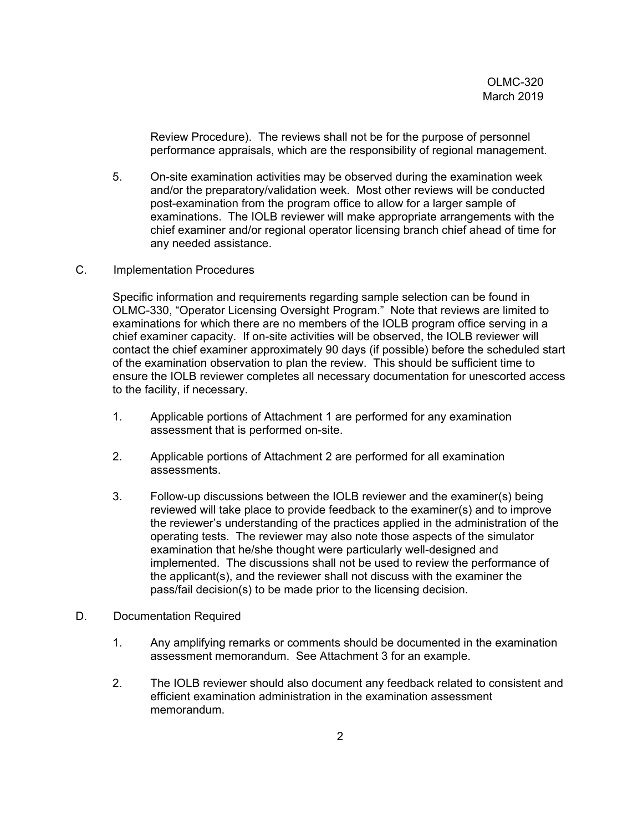Review Procedure). The reviews shall not be for the purpose of personnel performance appraisals, which are the responsibility of regional management.

- 5. On-site examination activities may be observed during the examination week and/or the preparatory/validation week. Most other reviews will be conducted post-examination from the program office to allow for a larger sample of examinations. The IOLB reviewer will make appropriate arrangements with the chief examiner and/or regional operator licensing branch chief ahead of time for any needed assistance.
- C. Implementation Procedures

Specific information and requirements regarding sample selection can be found in OLMC-330, "Operator Licensing Oversight Program." Note that reviews are limited to examinations for which there are no members of the IOLB program office serving in a chief examiner capacity. If on-site activities will be observed, the IOLB reviewer will contact the chief examiner approximately 90 days (if possible) before the scheduled start of the examination observation to plan the review. This should be sufficient time to ensure the IOLB reviewer completes all necessary documentation for unescorted access to the facility, if necessary.

- 1. Applicable portions of Attachment 1 are performed for any examination assessment that is performed on-site.
- 2. Applicable portions of Attachment 2 are performed for all examination assessments.
- 3. Follow-up discussions between the IOLB reviewer and the examiner(s) being reviewed will take place to provide feedback to the examiner(s) and to improve the reviewer's understanding of the practices applied in the administration of the operating tests. The reviewer may also note those aspects of the simulator examination that he/she thought were particularly well-designed and implemented. The discussions shall not be used to review the performance of the applicant(s), and the reviewer shall not discuss with the examiner the pass/fail decision(s) to be made prior to the licensing decision.
- D. Documentation Required
	- 1. Any amplifying remarks or comments should be documented in the examination assessment memorandum. See Attachment 3 for an example.
	- 2. The IOLB reviewer should also document any feedback related to consistent and efficient examination administration in the examination assessment memorandum.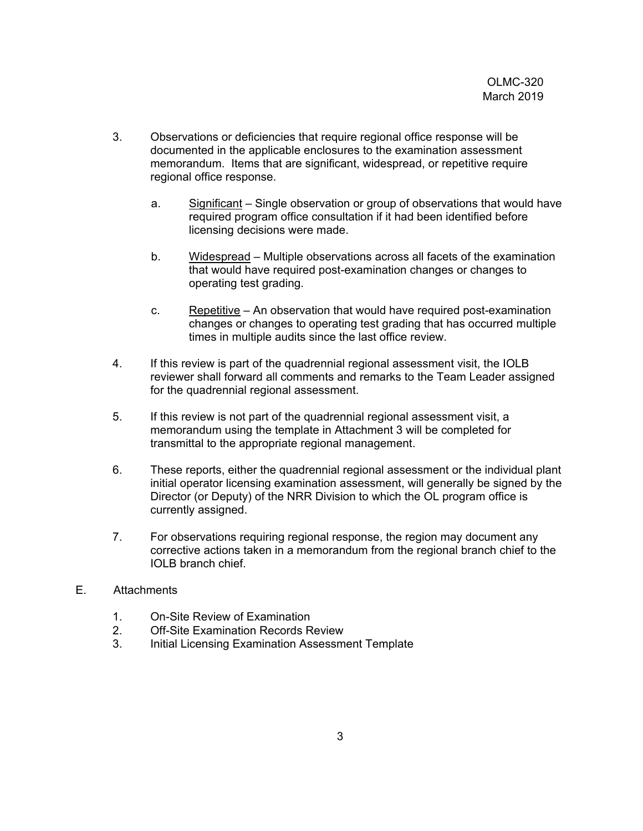- 3. Observations or deficiencies that require regional office response will be documented in the applicable enclosures to the examination assessment memorandum. Items that are significant, widespread, or repetitive require regional office response.
	- a. Significant Single observation or group of observations that would have required program office consultation if it had been identified before licensing decisions were made.
	- b. Widespread Multiple observations across all facets of the examination that would have required post-examination changes or changes to operating test grading.
	- c. Repetitive An observation that would have required post-examination changes or changes to operating test grading that has occurred multiple times in multiple audits since the last office review.
- 4. If this review is part of the quadrennial regional assessment visit, the IOLB reviewer shall forward all comments and remarks to the Team Leader assigned for the quadrennial regional assessment.
- 5. If this review is not part of the quadrennial regional assessment visit, a memorandum using the template in Attachment 3 will be completed for transmittal to the appropriate regional management.
- 6. These reports, either the quadrennial regional assessment or the individual plant initial operator licensing examination assessment, will generally be signed by the Director (or Deputy) of the NRR Division to which the OL program office is currently assigned.
- 7. For observations requiring regional response, the region may document any corrective actions taken in a memorandum from the regional branch chief to the IOLB branch chief.

## E. Attachments

- 1. On-Site Review of Examination
- 2. Off-Site Examination Records Review
- 3. Initial Licensing Examination Assessment Template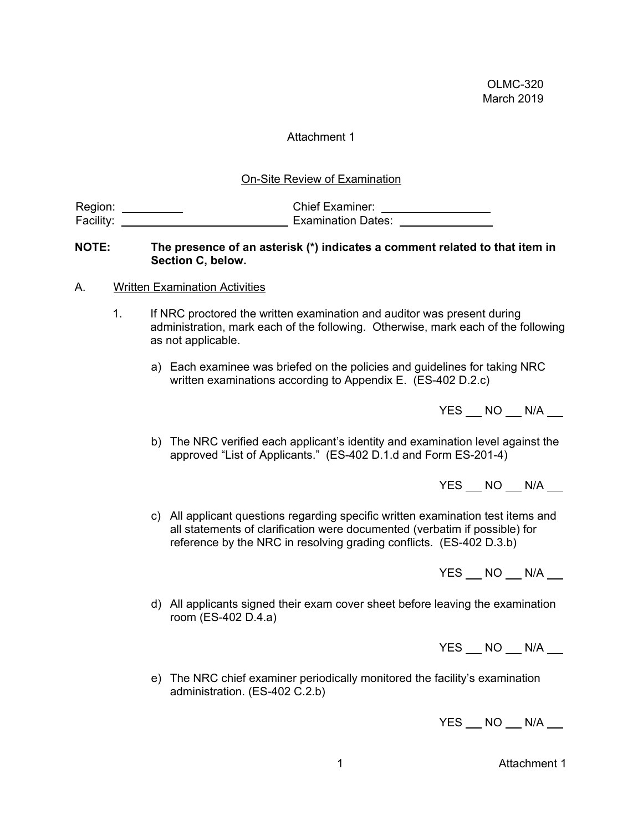#### Attachment 1

On-Site Review of Examination

| Region:   | <b>Chief Examiner:</b> |
|-----------|------------------------|
| Facility: | Examination Dates:     |

#### **NOTE: The presence of an asterisk (\*) indicates a comment related to that item in Section C, below.**

- A. Written Examination Activities
	- 1. If NRC proctored the written examination and auditor was present during administration, mark each of the following. Otherwise, mark each of the following as not applicable.
		- a) Each examinee was briefed on the policies and guidelines for taking NRC written examinations according to Appendix E. (ES-402 D.2.c)

| YES NO N/A |                                 |
|------------|---------------------------------|
|            | the contract of the contract of |

b) The NRC verified each applicant's identity and examination level against the approved "List of Applicants." (ES-402 D.1.d and Form ES-201-4)

 $YES$   $NO$   $N/A$   $\_$ 

c) All applicant questions regarding specific written examination test items and all statements of clarification were documented (verbatim if possible) for reference by the NRC in resolving grading conflicts. (ES-402 D.3.b)

 $YES$   $NO$   $N/A$   $\_$ 

d) All applicants signed their exam cover sheet before leaving the examination room (ES-402 D.4.a)

YES NO N/A

e) The NRC chief examiner periodically monitored the facility's examination administration. (ES-402 C.2.b)

YES NO N/A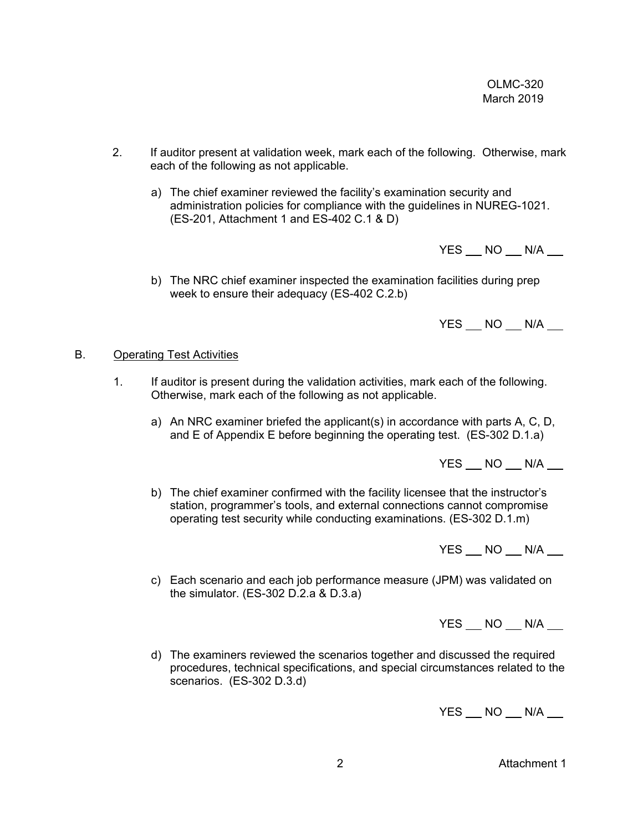- 2. If auditor present at validation week, mark each of the following. Otherwise, mark each of the following as not applicable.
	- a) The chief examiner reviewed the facility's examination security and administration policies for compliance with the guidelines in NUREG-1021. (ES-201, Attachment 1 and ES-402 C.1 & D)

YES NO N/A

b) The NRC chief examiner inspected the examination facilities during prep week to ensure their adequacy (ES-402 C.2.b)

 $YES$   $NO$   $N/A$   $\_$ 

## B. Operating Test Activities

- 1. If auditor is present during the validation activities, mark each of the following. Otherwise, mark each of the following as not applicable.
	- a) An NRC examiner briefed the applicant(s) in accordance with parts A, C, D, and E of Appendix E before beginning the operating test. (ES-302 D.1.a)

YES NO N/A

b) The chief examiner confirmed with the facility licensee that the instructor's station, programmer's tools, and external connections cannot compromise operating test security while conducting examinations. (ES-302 D.1.m)

YES NO N/A

c) Each scenario and each job performance measure (JPM) was validated on the simulator. (ES-302 D.2.a & D.3.a)

 $YES$   $NO$   $N/A$   $\qquad$ 

d) The examiners reviewed the scenarios together and discussed the required procedures, technical specifications, and special circumstances related to the scenarios. (ES-302 D.3.d)

 $YES$   $NO$   $N/A$   $\_$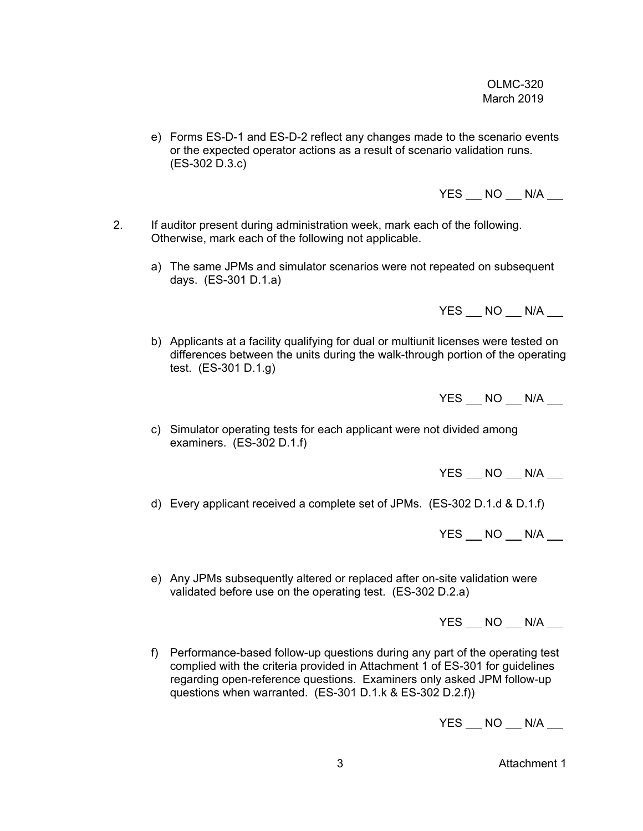e) Forms ES-D-1 and ES-D-2 reflect any changes made to the scenario events or the expected operator actions as a result of scenario validation runs. (ES-302 D.3.c)

 $YES$   $NO$   $N/A$   $\_$ 

- 2. If auditor present during administration week, mark each of the following. Otherwise, mark each of the following not applicable.
	- a) The same JPMs and simulator scenarios were not repeated on subsequent days. (ES-301 D.1.a)

 $YES$   $NO$   $N/A$   $\qquad$ 

b) Applicants at a facility qualifying for dual or multiunit licenses were tested on differences between the units during the walk-through portion of the operating test. (ES-301 D.1.g)

 $YES$   $NO$   $N/A$   $\_$ 

c) Simulator operating tests for each applicant were not divided among examiners. (ES-302 D.1.f)

YES NO N/A

d) Every applicant received a complete set of JPMs. (ES-302 D.1.d & D.1.f)

 $YES$   $NO$   $N/A$   $\qquad$ 

e) Any JPMs subsequently altered or replaced after on-site validation were validated before use on the operating test. (ES-302 D.2.a)

 $YES$   $NO$   $N/A$   $\_$ 

f) Performance-based follow-up questions during any part of the operating test complied with the criteria provided in Attachment 1 of ES-301 for guidelines regarding open-reference questions. Examiners only asked JPM follow-up questions when warranted. (ES-301 D.1.k & ES-302 D.2.f))

 $YES$   $NO$   $N/A$   $\qquad$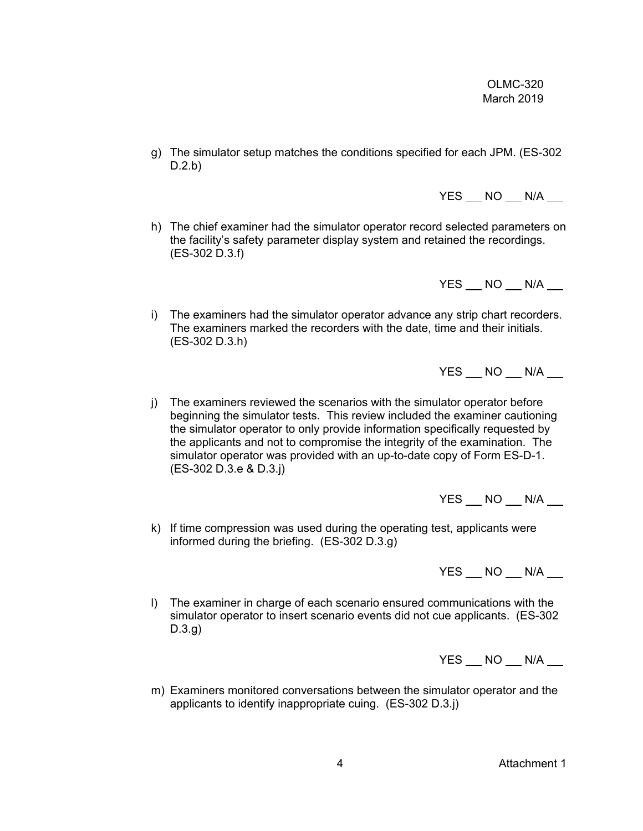g) The simulator setup matches the conditions specified for each JPM. (ES-302 D.2.b)

YES NO N/A

h) The chief examiner had the simulator operator record selected parameters on the facility's safety parameter display system and retained the recordings. (ES-302 D.3.f)

YES NO N/A

i) The examiners had the simulator operator advance any strip chart recorders. The examiners marked the recorders with the date, time and their initials. (ES-302 D.3.h)

 $YES$   $NO$   $N/A$   $\_$ 

j) The examiners reviewed the scenarios with the simulator operator before beginning the simulator tests. This review included the examiner cautioning the simulator operator to only provide information specifically requested by the applicants and not to compromise the integrity of the examination. The simulator operator was provided with an up-to-date copy of Form ES-D-1. (ES-302 D.3.e & D.3.j)

 $YES$   $NO$   $N/A$   $\_$ 

k) If time compression was used during the operating test, applicants were informed during the briefing. (ES-302 D.3.g)

YES NO N/A

l) The examiner in charge of each scenario ensured communications with the simulator operator to insert scenario events did not cue applicants. (ES-302 D.3.g)

 $YES$   $NO$   $N/A$   $\_$ 

m) Examiners monitored conversations between the simulator operator and the applicants to identify inappropriate cuing. (ES-302 D.3.j)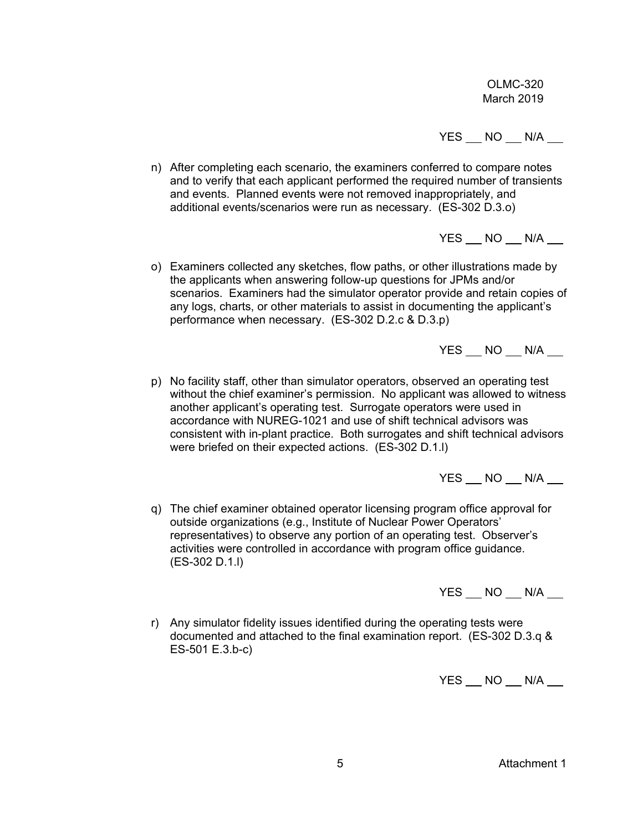$YES$   $NO$   $N/A$   $\qquad$ 

n) After completing each scenario, the examiners conferred to compare notes and to verify that each applicant performed the required number of transients and events. Planned events were not removed inappropriately, and additional events/scenarios were run as necessary. (ES-302 D.3.o)

 $YES$   $NO$   $N/A$   $\_$ 

o) Examiners collected any sketches, flow paths, or other illustrations made by the applicants when answering follow-up questions for JPMs and/or scenarios. Examiners had the simulator operator provide and retain copies of any logs, charts, or other materials to assist in documenting the applicant's performance when necessary. (ES-302 D.2.c & D.3.p)

YES NO N/A

p) No facility staff, other than simulator operators, observed an operating test without the chief examiner's permission. No applicant was allowed to witness another applicant's operating test. Surrogate operators were used in accordance with NUREG-1021 and use of shift technical advisors was consistent with in-plant practice. Both surrogates and shift technical advisors were briefed on their expected actions. (ES-302 D.1.l)

 $YES$   $NO$   $N/A$   $\_$ 

q) The chief examiner obtained operator licensing program office approval for outside organizations (e.g., Institute of Nuclear Power Operators' representatives) to observe any portion of an operating test. Observer's activities were controlled in accordance with program office guidance. (ES-302 D.1.l)

 $YES$   $NO$   $N/A$   $\_$ 

r) Any simulator fidelity issues identified during the operating tests were documented and attached to the final examination report. (ES-302 D.3.q & ES-501 E.3.b-c)

 $YES$   $NO$   $N/A$   $\_$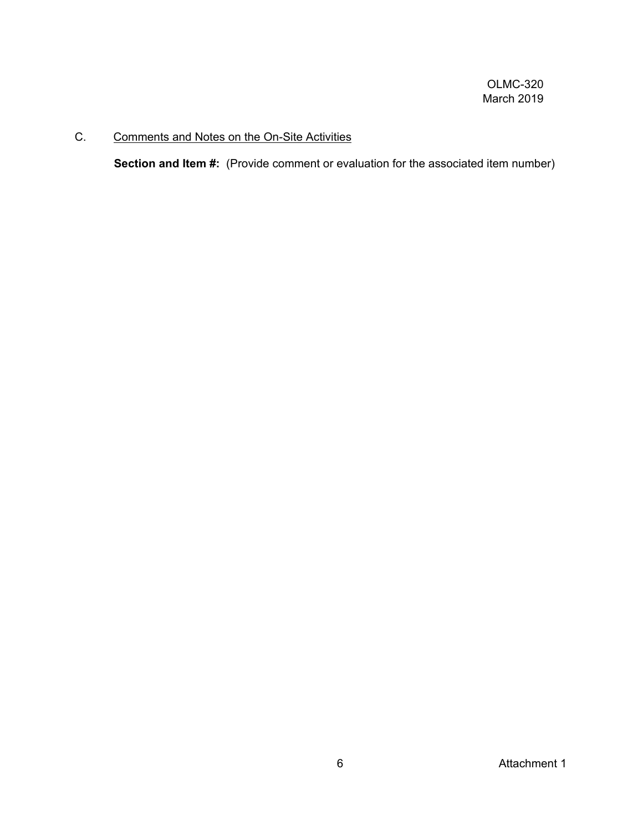# C. Comments and Notes on the On-Site Activities

**Section and Item #:** (Provide comment or evaluation for the associated item number)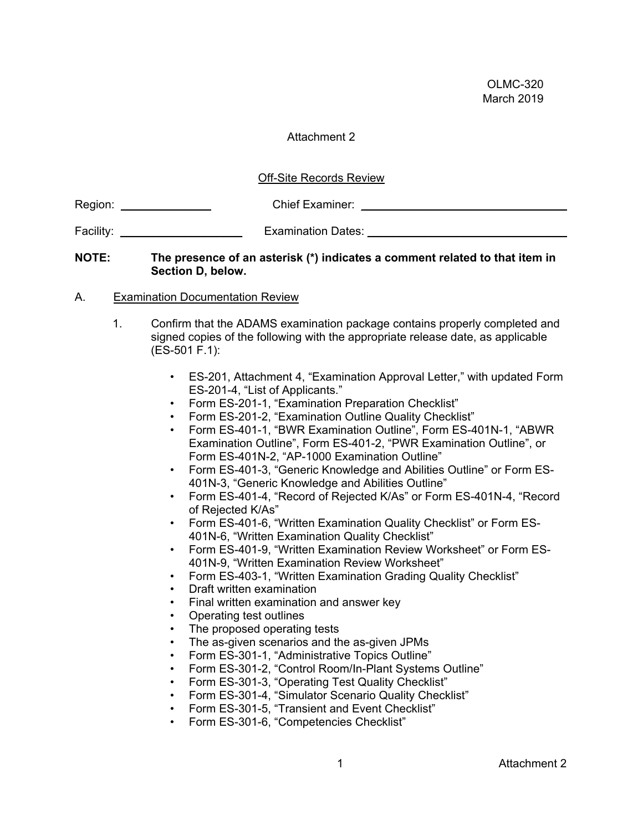## Attachment 2

## Off-Site Records Review

| Region: | <b>Chief Examiner:</b> |
|---------|------------------------|
|         |                        |

Facility: \_\_\_\_\_\_\_\_\_\_\_\_\_\_\_\_\_\_\_ Examination Dates: \_\_\_\_\_\_\_\_\_\_\_\_\_\_\_\_\_\_\_\_\_\_\_\_\_\_\_\_\_\_\_

#### **NOTE: The presence of an asterisk (\*) indicates a comment related to that item in Section D, below.**

## A. Examination Documentation Review

- 1. Confirm that the ADAMS examination package contains properly completed and signed copies of the following with the appropriate release date, as applicable (ES-501 F.1):
	- ES-201, Attachment 4, "Examination Approval Letter," with updated Form ES-201-4, "List of Applicants."
	- Form ES-201-1, "Examination Preparation Checklist"
	- Form ES-201-2, "Examination Outline Quality Checklist"
	- Form ES-401-1, "BWR Examination Outline", Form ES-401N-1, "ABWR Examination Outline", Form ES-401-2, "PWR Examination Outline", or Form ES-401N-2, "AP-1000 Examination Outline"
	- Form ES-401-3, "Generic Knowledge and Abilities Outline" or Form ES-401N-3, "Generic Knowledge and Abilities Outline"
	- Form ES-401-4, "Record of Rejected K/As" or Form ES-401N-4, "Record of Rejected K/As"
	- Form ES-401-6, "Written Examination Quality Checklist" or Form ES-401N-6, "Written Examination Quality Checklist"
	- Form ES-401-9, "Written Examination Review Worksheet" or Form ES-401N-9, "Written Examination Review Worksheet"
	- Form ES-403-1, "Written Examination Grading Quality Checklist"
	- Draft written examination
	- Final written examination and answer key
	- Operating test outlines
	- The proposed operating tests
	- The as-given scenarios and the as-given JPMs
	- Form ES-301-1, "Administrative Topics Outline"
	- Form ES-301-2, "Control Room/In-Plant Systems Outline"
	- Form ES-301-3, "Operating Test Quality Checklist"
	- Form ES-301-4, "Simulator Scenario Quality Checklist"
	- Form ES-301-5, "Transient and Event Checklist"
	- Form ES-301-6, "Competencies Checklist"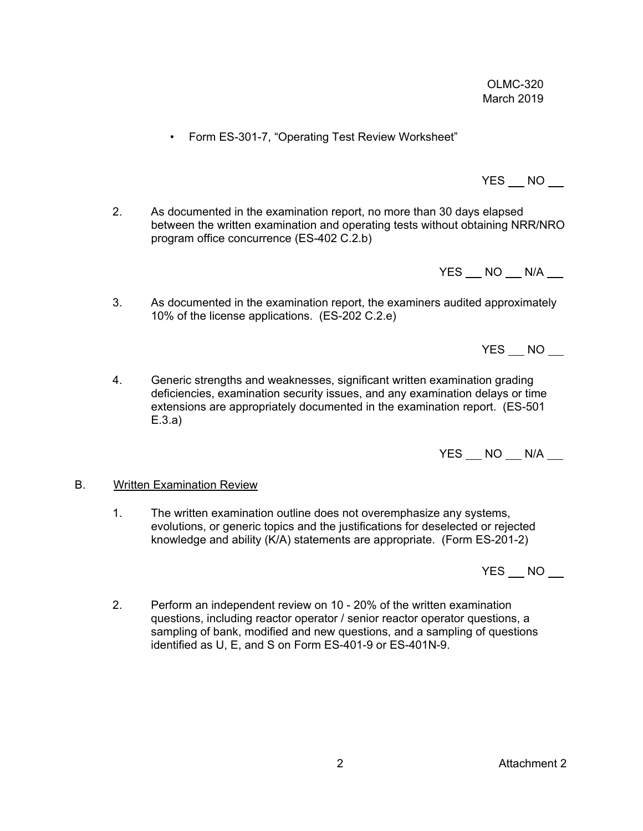YES NO

 $YES$   $NO$   $\qquad$ 

• Form ES-301-7, "Operating Test Review Worksheet"

2. As documented in the examination report, no more than 30 days elapsed between the written examination and operating tests without obtaining NRR/NRO program office concurrence (ES-402 C.2.b)

YES NO N/A

- 3. As documented in the examination report, the examiners audited approximately 10% of the license applications. (ES-202 C.2.e)
- 4. Generic strengths and weaknesses, significant written examination grading deficiencies, examination security issues, and any examination delays or time extensions are appropriately documented in the examination report. (ES-501 E.3.a)

 $YES$   $NO$   $N/A$   $\qquad$ 

#### B. Written Examination Review

1. The written examination outline does not overemphasize any systems, evolutions, or generic topics and the justifications for deselected or rejected knowledge and ability (K/A) statements are appropriate. (Form ES-201-2)

 $YES$   $NO$   $\qquad$ 

2. Perform an independent review on 10 - 20% of the written examination questions, including reactor operator / senior reactor operator questions, a sampling of bank, modified and new questions, and a sampling of questions identified as U, E, and S on Form ES-401-9 or ES-401N-9.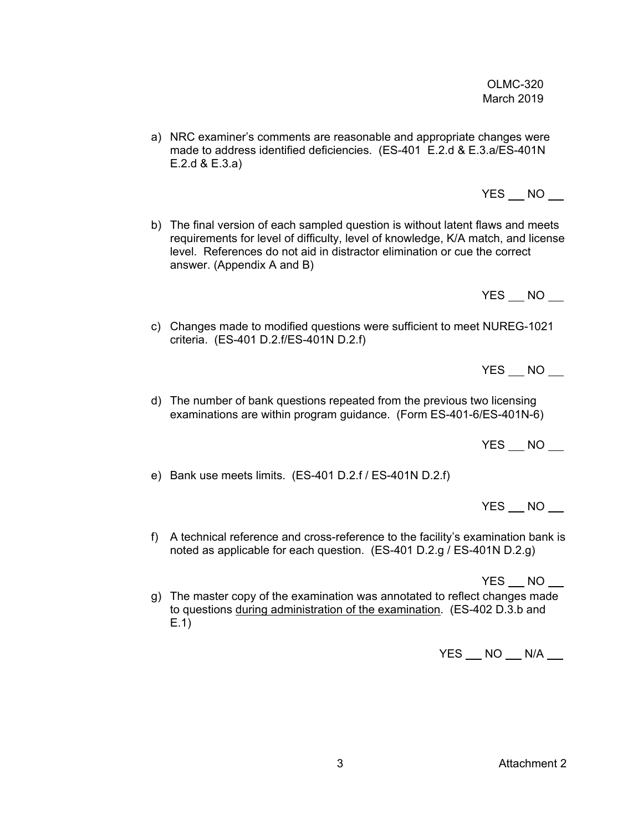3 Attachment 2

OLMC-320 March 2019

- a) NRC examiner's comments are reasonable and appropriate changes were made to address identified deficiencies. (ES-401 E.2.d & E.3.a/ES-401N E.2.d & E.3.a)
- b) The final version of each sampled question is without latent flaws and meets requirements for level of difficulty, level of knowledge, K/A match, and license level. References do not aid in distractor elimination or cue the correct answer. (Appendix A and B)
	-
- c) Changes made to modified questions were sufficient to meet NUREG-1021 criteria. (ES-401 D.2.f/ES-401N D.2.f)

 $YES$   $NO$   $\qquad$ 

YES NO

d) The number of bank questions repeated from the previous two licensing examinations are within program guidance. (Form ES-401-6/ES-401N-6)

YES NO

e) Bank use meets limits. (ES-401 D.2.f / ES-401N D.2.f)

YES NO

f) A technical reference and cross-reference to the facility's examination bank is noted as applicable for each question. (ES-401 D.2.g / ES-401N D.2.g)

YES NO

g) The master copy of the examination was annotated to reflect changes made to questions during administration of the examination. (ES-402 D.3.b and E.1)

 $YES$   $NO$   $N/A$   $\_$ 

 $YES$   $NO$   $\qquad$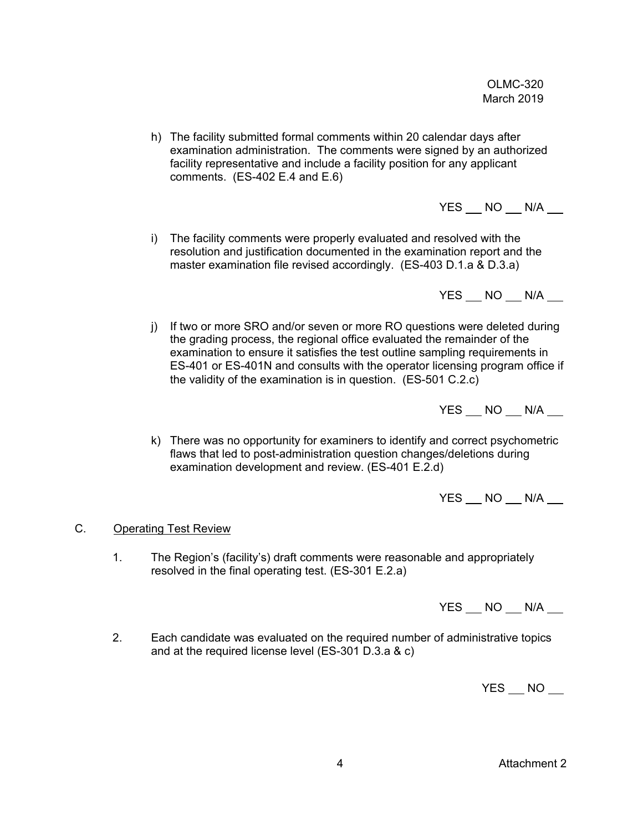h) The facility submitted formal comments within 20 calendar days after examination administration. The comments were signed by an authorized facility representative and include a facility position for any applicant comments.  $(ES-402 E.4$  and  $E.6)$ 

 $YES$   $NO$   $N/A$   $\_$ 

i) The facility comments were properly evaluated and resolved with the resolution and justification documented in the examination report and the master examination file revised accordingly. (ES-403 D.1.a & D.3.a)

YES NO N/A

j) If two or more SRO and/or seven or more RO questions were deleted during the grading process, the regional office evaluated the remainder of the examination to ensure it satisfies the test outline sampling requirements in ES-401 or ES-401N and consults with the operator licensing program office if the validity of the examination is in question. (ES-501 C.2.c)

 $YES$   $NO$   $N/A$   $\qquad$ 

k) There was no opportunity for examiners to identify and correct psychometric flaws that led to post-administration question changes/deletions during examination development and review. (ES-401 E.2.d)

YES NO N/A

## C. Operating Test Review

1. The Region's (facility's) draft comments were reasonable and appropriately resolved in the final operating test. (ES-301 E.2.a)

YES NO N/A

2. Each candidate was evaluated on the required number of administrative topics and at the required license level (ES-301 D.3.a & c)

YES NO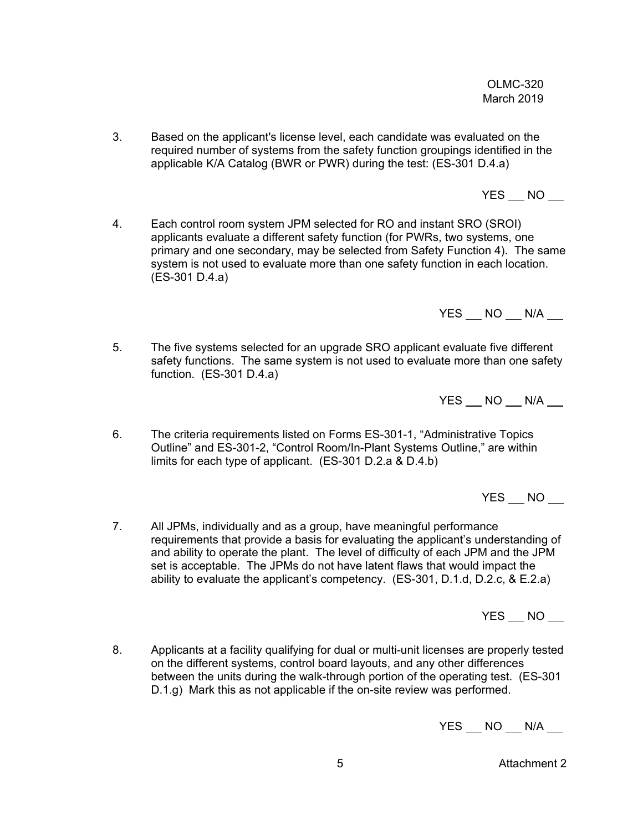3. Based on the applicant's license level, each candidate was evaluated on the required number of systems from the safety function groupings identified in the applicable K/A Catalog (BWR or PWR) during the test: (ES-301 D.4.a)

YES NO

4. Each control room system JPM selected for RO and instant SRO (SROI) applicants evaluate a different safety function (for PWRs, two systems, one primary and one secondary, may be selected from Safety Function 4). The same system is not used to evaluate more than one safety function in each location. (ES-301 D.4.a)

 $YES$   $NO$   $N/A$   $\_$ 

5. The five systems selected for an upgrade SRO applicant evaluate five different safety functions. The same system is not used to evaluate more than one safety function. (ES-301 D.4.a)

YES NO N/A

6. The criteria requirements listed on Forms ES-301-1, "Administrative Topics Outline" and ES-301-2, "Control Room/In-Plant Systems Outline," are within limits for each type of applicant. (ES-301 D.2.a & D.4.b)

YES NO

7. All JPMs, individually and as a group, have meaningful performance requirements that provide a basis for evaluating the applicant's understanding of and ability to operate the plant. The level of difficulty of each JPM and the JPM set is acceptable. The JPMs do not have latent flaws that would impact the ability to evaluate the applicant's competency. (ES-301, D.1.d, D.2.c, & E.2.a)

YES NO

8. Applicants at a facility qualifying for dual or multi-unit licenses are properly tested on the different systems, control board layouts, and any other differences between the units during the walk-through portion of the operating test. (ES-301 D.1.g) Mark this as not applicable if the on-site review was performed.

 $YES$   $NO$   $N/A$   $\_$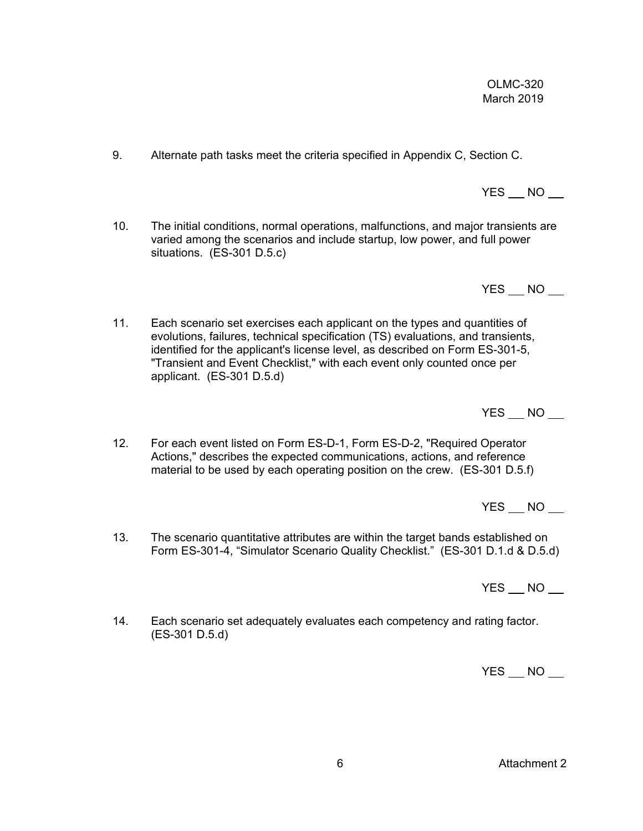6 Attachment 2

OLMC-320 March 2019

- 9. Alternate path tasks meet the criteria specified in Appendix C, Section C.
- 10. The initial conditions, normal operations, malfunctions, and major transients are varied among the scenarios and include startup, low power, and full power situations. (ES-301 D.5.c)

YES NO

 $YES$   $NO$   $\qquad$ 

11. Each scenario set exercises each applicant on the types and quantities of evolutions, failures, technical specification (TS) evaluations, and transients, identified for the applicant's license level, as described on Form ES-301-5, "Transient and Event Checklist," with each event only counted once per applicant. (ES-301 D.5.d)

 $YES$   $NO$   $\qquad$ 

12. For each event listed on Form ES-D-1, Form ES-D-2, "Required Operator Actions," describes the expected communications, actions, and reference material to be used by each operating position on the crew. (ES-301 D.5.f)

YES NO

13. The scenario quantitative attributes are within the target bands established on Form ES-301-4, "Simulator Scenario Quality Checklist." (ES-301 D.1.d & D.5.d)

 $YES$   $NO$   $\qquad$ 

14. Each scenario set adequately evaluates each competency and rating factor. (ES-301 D.5.d)

YES NO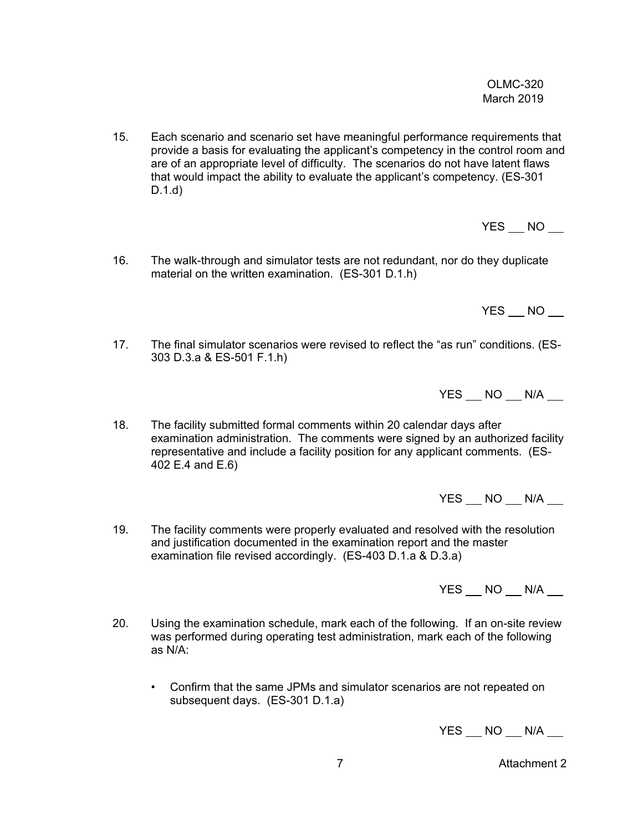15. Each scenario and scenario set have meaningful performance requirements that provide a basis for evaluating the applicant's competency in the control room and are of an appropriate level of difficulty. The scenarios do not have latent flaws that would impact the ability to evaluate the applicant's competency. (ES-301 D.1.d)

YES NO

16. The walk-through and simulator tests are not redundant, nor do they duplicate material on the written examination. (ES-301 D.1.h)

 $YES$  NO  $\_\$ 

17. The final simulator scenarios were revised to reflect the "as run" conditions. (ES-303 D.3.a & ES-501 F.1.h)

YES NO N/A

18. The facility submitted formal comments within 20 calendar days after examination administration. The comments were signed by an authorized facility representative and include a facility position for any applicant comments. (ES-402 E.4 and E.6)

 $YES$   $NO$   $N/A$   $\_$ 

19. The facility comments were properly evaluated and resolved with the resolution and justification documented in the examination report and the master examination file revised accordingly. (ES-403 D.1.a & D.3.a)

 $YES$   $NO$   $N/A$   $\_$ 

- 20. Using the examination schedule, mark each of the following. If an on-site review was performed during operating test administration, mark each of the following as N/A:
	- Confirm that the same JPMs and simulator scenarios are not repeated on subsequent days. (ES-301 D.1.a)

 $YES$   $NO$   $N/A$   $\_$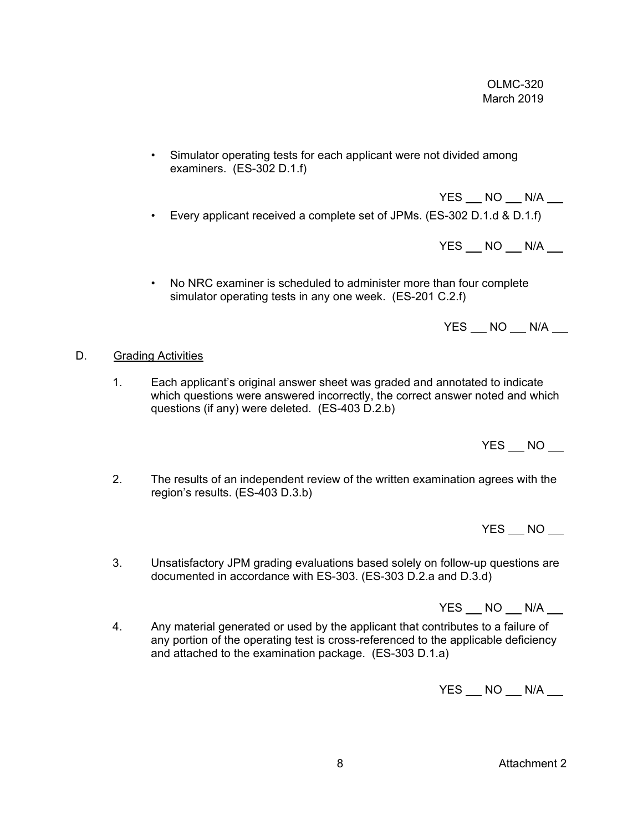• Simulator operating tests for each applicant were not divided among examiners. (ES-302 D.1.f)

 YES NO N/A • Every applicant received a complete set of JPMs. (ES-302 D.1.d & D.1.f)

 $YES$   $NO$   $N/A$   $\qquad$ 

• No NRC examiner is scheduled to administer more than four complete simulator operating tests in any one week. (ES-201 C.2.f)

 $YES$   $NO$   $N/A$   $\_$ 

## D. Grading Activities

1. Each applicant's original answer sheet was graded and annotated to indicate which questions were answered incorrectly, the correct answer noted and which questions (if any) were deleted. (ES-403 D.2.b)

YES NO

2. The results of an independent review of the written examination agrees with the region's results. (ES-403 D.3.b)

 $YES$   $NO$   $\qquad$ 

3. Unsatisfactory JPM grading evaluations based solely on follow-up questions are documented in accordance with ES-303. (ES-303 D.2.a and D.3.d)

YES NO N/A

4. Any material generated or used by the applicant that contributes to a failure of any portion of the operating test is cross-referenced to the applicable deficiency and attached to the examination package. (ES-303 D.1.a)

 $YES$   $NO$   $N/A$   $\_$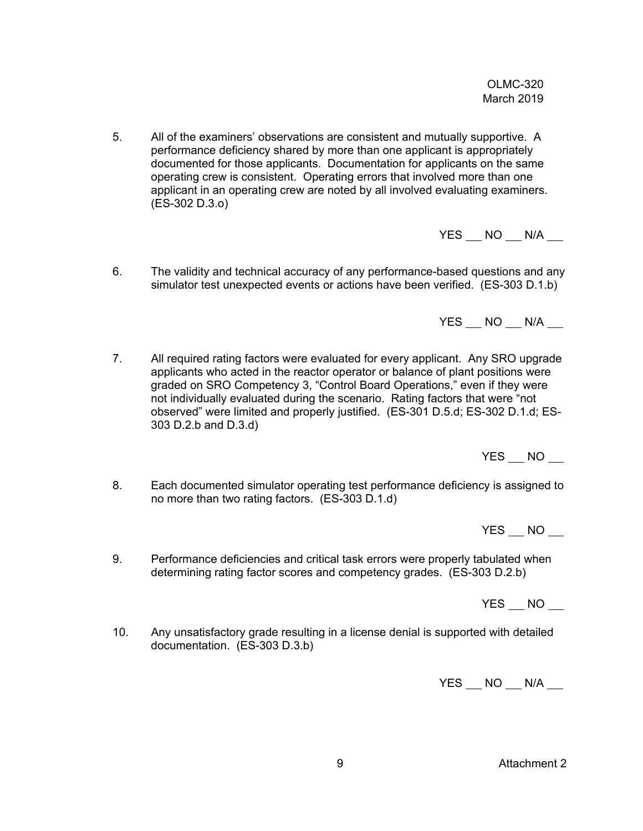5. All of the examiners' observations are consistent and mutually supportive. A performance deficiency shared by more than one applicant is appropriately documented for those applicants. Documentation for applicants on the same operating crew is consistent. Operating errors that involved more than one applicant in an operating crew are noted by all involved evaluating examiners. (ES-302 D.3.o)

 $YES$   $NO$   $N/A$   $\_$ 

6. The validity and technical accuracy of any performance-based questions and any simulator test unexpected events or actions have been verified. (ES-303 D.1.b)

 $YES$   $NO$   $N/A$   $\qquad$ 

7. All required rating factors were evaluated for every applicant. Any SRO upgrade applicants who acted in the reactor operator or balance of plant positions were graded on SRO Competency 3, "Control Board Operations," even if they were not individually evaluated during the scenario. Rating factors that were "not observed" were limited and properly justified. (ES-301 D.5.d; ES-302 D.1.d; ES-303 D.2.b and D.3.d)

YES NO

8. Each documented simulator operating test performance deficiency is assigned to no more than two rating factors. (ES-303 D.1.d)

YES NO

9. Performance deficiencies and critical task errors were properly tabulated when determining rating factor scores and competency grades. (ES-303 D.2.b)

 $YES$   $NO$   $\qquad$ 

10. Any unsatisfactory grade resulting in a license denial is supported with detailed documentation. (ES-303 D.3.b)

YES NO N/A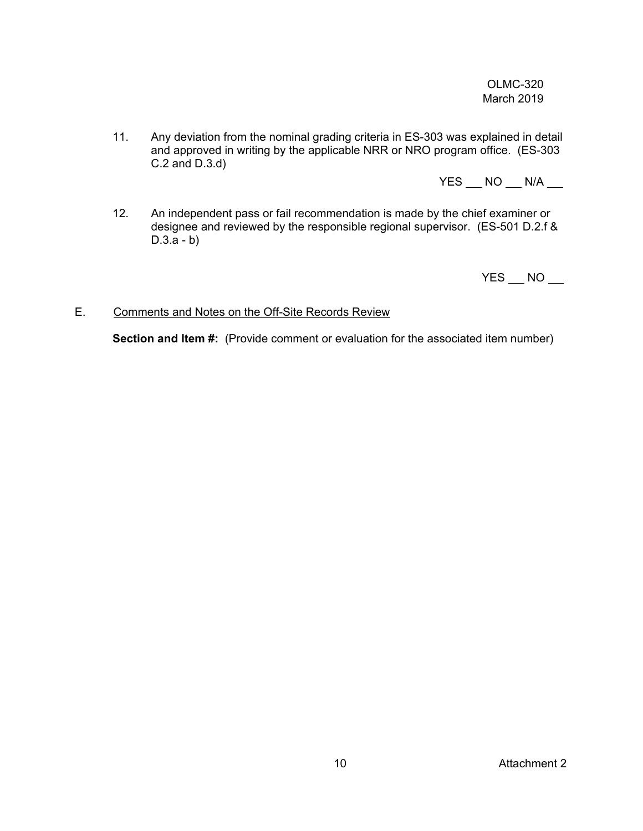11. Any deviation from the nominal grading criteria in ES-303 was explained in detail and approved in writing by the applicable NRR or NRO program office. (ES-303 C.2 and D.3.d)

 $YES$   $NO$   $N/A$   $\_$ 

12. An independent pass or fail recommendation is made by the chief examiner or designee and reviewed by the responsible regional supervisor. (ES-501 D.2.f &  $D.3.a - b)$ 

 $YES$   $NO$   $\qquad$ 

## E. Comments and Notes on the Off-Site Records Review

**Section and Item #:** (Provide comment or evaluation for the associated item number)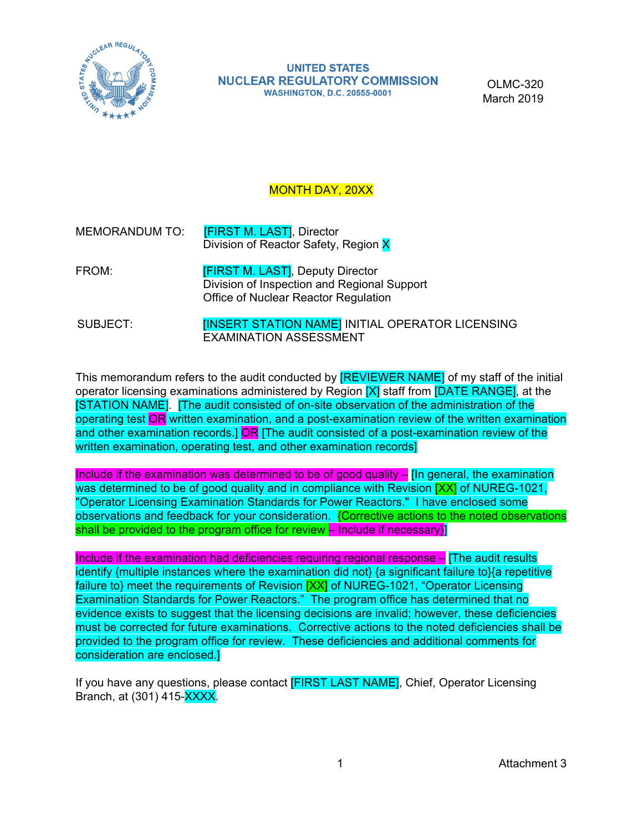

**UNITED STATES NUCLEAR REGULATORY COMMISSION WASHINGTON, D.C. 20555-0001** 

OLMC-320 March 2019

# MONTH DAY, 20XX

- MEMORANDUM TO: **[FIRST M. LAST]**, Director Division of Reactor Safety, Region X
- FROM: **[FIRST M. LAST]**, Deputy Director Division of Inspection and Regional Support Office of Nuclear Reactor Regulation
- SUBJECT: **INSERT STATION NAME]** INITIAL OPERATOR LICENSING EXAMINATION ASSESSMENT

This memorandum refers to the audit conducted by **[REVIEWER NAME]** of my staff of the initial operator licensing examinations administered by Region  $[X]$  staff from  $[DATE$  RANGE], at the [STATION NAME]. [The audit consisted of on-site observation of the administration of the operating test OR written examination, and a post-examination review of the written examination and other examination records.] OR [The audit consisted of a post-examination review of the written examination, operating test, and other examination records]

Include if the examination was determined to be of good quality  $-$  [In general, the examination was determined to be of good quality and in compliance with Revision **[XX]** of NUREG-1021, "Operator Licensing Examination Standards for Power Reactors." I have enclosed some observations and feedback for your consideration. {Corrective actions to the noted observations shall be provided to the program office for review  $-$  Include if necessary}

Include if the examination had deficiencies requiring regional response – [The audit results identify {multiple instances where the examination did not} {a significant failure to}{a repetitive failure to} meet the requirements of Revision [XX] of NUREG-1021, "Operator Licensing Examination Standards for Power Reactors." The program office has determined that no evidence exists to suggest that the licensing decisions are invalid; however, these deficiencies must be corrected for future examinations. Corrective actions to the noted deficiencies shall be provided to the program office for review. These deficiencies and additional comments for consideration are enclosed.]

If you have any questions, please contact **[FIRST LAST NAME]**, Chief, Operator Licensing Branch, at (301) 415-XXXX.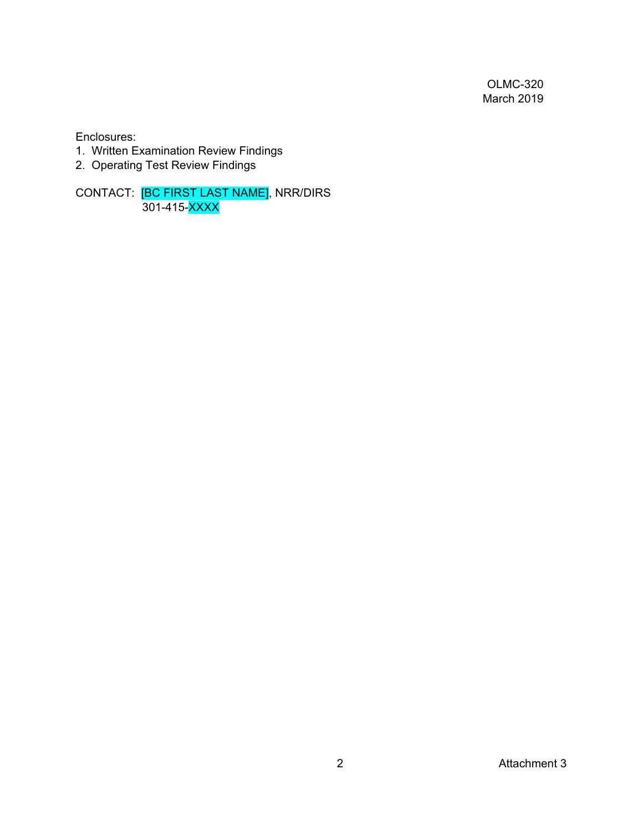Enclosures:

- 1. Written Examination Review Findings
- 2. Operating Test Review Findings

CONTACT: <mark>[BC FIRST LAST NAME]</mark>, NRR/DIRS 301-415-<mark>XXXX</mark>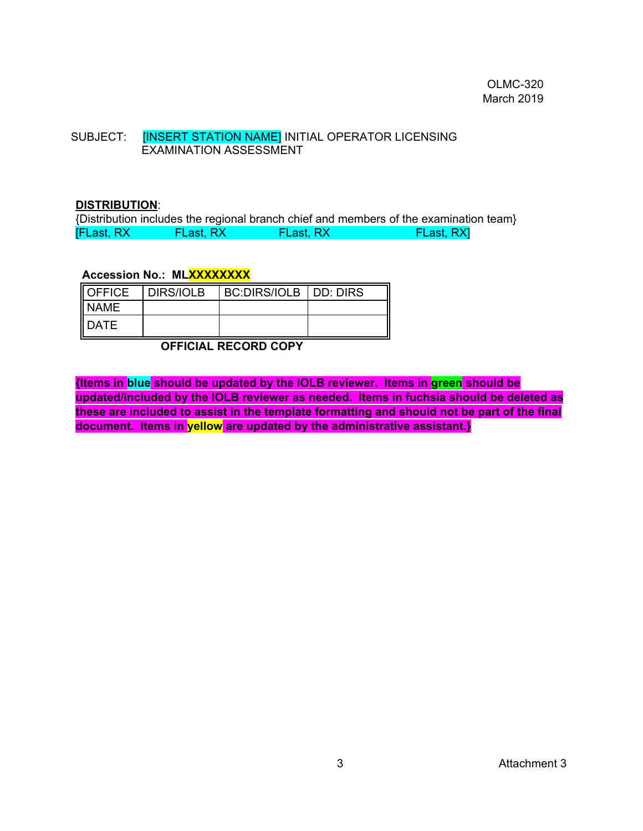## SUBJECT: **[INSERT STATION NAME] INITIAL OPERATOR LICENSING** EXAMINATION ASSESSMENT

#### **DISTRIBUTION**:

{Distribution includes the regional branch chief and members of the examination team} [FLast, RX FLast, RX FLast, RX FLast, RX]

#### **Accession No.: MLXXXXXXXX**

| <b>OFFICE</b> | <b>DIRS/IOLB</b> | BC:DIRS/IOLB   DD: DIRS |  |
|---------------|------------------|-------------------------|--|
| I NAME        |                  |                         |  |
| II DATE       |                  |                         |  |

**OFFICIAL RECORD COPY** 

**{Items in blue should be updated by the IOLB reviewer. Items in green should be updated/included by the IOLB reviewer as needed. Items in fuchsia should be deleted as these are included to assist in the template formatting and should not be part of the final document. Items in yellow are updated by the administrative assistant.}**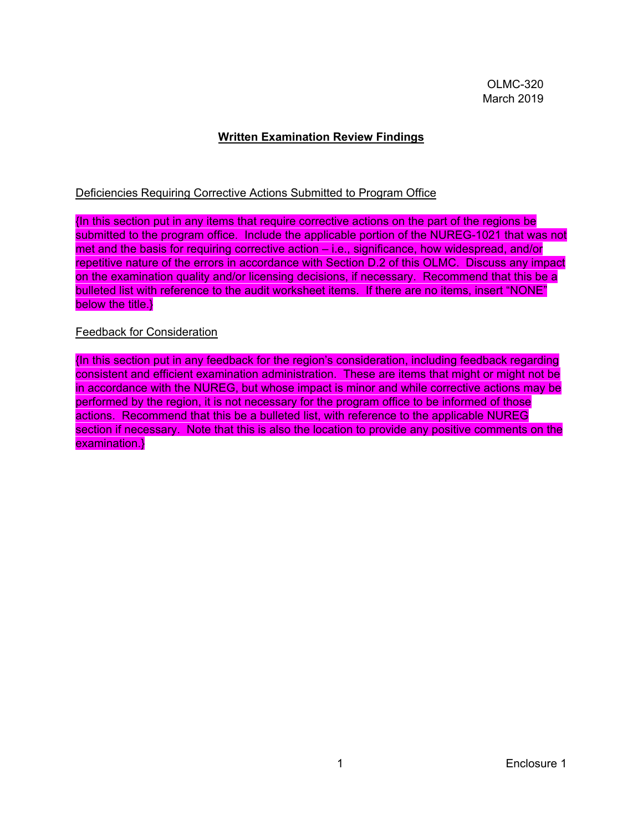# **Written Examination Review Findings**

## Deficiencies Requiring Corrective Actions Submitted to Program Office

{In this section put in any items that require corrective actions on the part of the regions be submitted to the program office. Include the applicable portion of the NUREG-1021 that was not met and the basis for requiring corrective action – i.e., significance, how widespread, and/or repetitive nature of the errors in accordance with Section D.2 of this OLMC. Discuss any impact on the examination quality and/or licensing decisions, if necessary. Recommend that this be a bulleted list with reference to the audit worksheet items. If there are no items, insert "NONE" below the title.}

## Feedback for Consideration

{In this section put in any feedback for the region's consideration, including feedback regarding consistent and efficient examination administration. These are items that might or might not be in accordance with the NUREG, but whose impact is minor and while corrective actions may be performed by the region, it is not necessary for the program office to be informed of those actions. Recommend that this be a bulleted list, with reference to the applicable NUREG section if necessary. Note that this is also the location to provide any positive comments on the examination.}